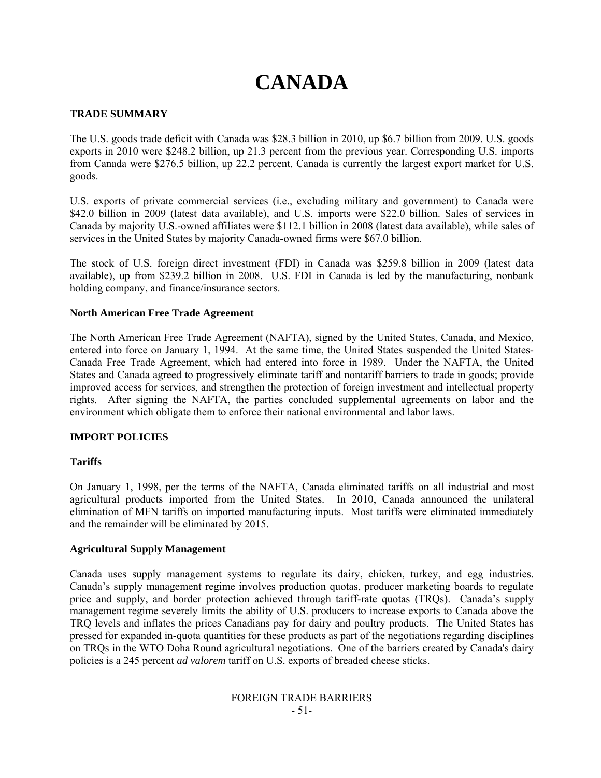# **CANADA**

# **TRADE SUMMARY**

The U.S. goods trade deficit with Canada was \$28.3 billion in 2010, up \$6.7 billion from 2009. U.S. goods exports in 2010 were \$248.2 billion, up 21.3 percent from the previous year. Corresponding U.S. imports from Canada were \$276.5 billion, up 22.2 percent. Canada is currently the largest export market for U.S. goods.

U.S. exports of private commercial services (i.e., excluding military and government) to Canada were \$42.0 billion in 2009 (latest data available), and U.S. imports were \$22.0 billion. Sales of services in Canada by majority U.S.-owned affiliates were \$112.1 billion in 2008 (latest data available), while sales of services in the United States by majority Canada-owned firms were \$67.0 billion.

The stock of U.S. foreign direct investment (FDI) in Canada was \$259.8 billion in 2009 (latest data available), up from \$239.2 billion in 2008. U.S. FDI in Canada is led by the manufacturing, nonbank holding company, and finance/insurance sectors.

# **North American Free Trade Agreement**

The North American Free Trade Agreement (NAFTA), signed by the United States, Canada, and Mexico, entered into force on January 1, 1994. At the same time, the United States suspended the United States-Canada Free Trade Agreement, which had entered into force in 1989. Under the NAFTA, the United States and Canada agreed to progressively eliminate tariff and nontariff barriers to trade in goods; provide improved access for services, and strengthen the protection of foreign investment and intellectual property rights. After signing the NAFTA, the parties concluded supplemental agreements on labor and the environment which obligate them to enforce their national environmental and labor laws.

# **IMPORT POLICIES**

# **Tariffs**

On January 1, 1998, per the terms of the NAFTA, Canada eliminated tariffs on all industrial and most agricultural products imported from the United States. In 2010, Canada announced the unilateral elimination of MFN tariffs on imported manufacturing inputs. Most tariffs were eliminated immediately and the remainder will be eliminated by 2015.

# **Agricultural Supply Management**

Canada uses supply management systems to regulate its dairy, chicken, turkey, and egg industries. Canada's supply management regime involves production quotas, producer marketing boards to regulate price and supply, and border protection achieved through tariff-rate quotas (TRQs). Canada's supply management regime severely limits the ability of U.S. producers to increase exports to Canada above the TRQ levels and inflates the prices Canadians pay for dairy and poultry products. The United States has pressed for expanded in-quota quantities for these products as part of the negotiations regarding disciplines on TRQs in the WTO Doha Round agricultural negotiations. One of the barriers created by Canada's dairy policies is a 245 percent *ad valorem* tariff on U.S. exports of breaded cheese sticks.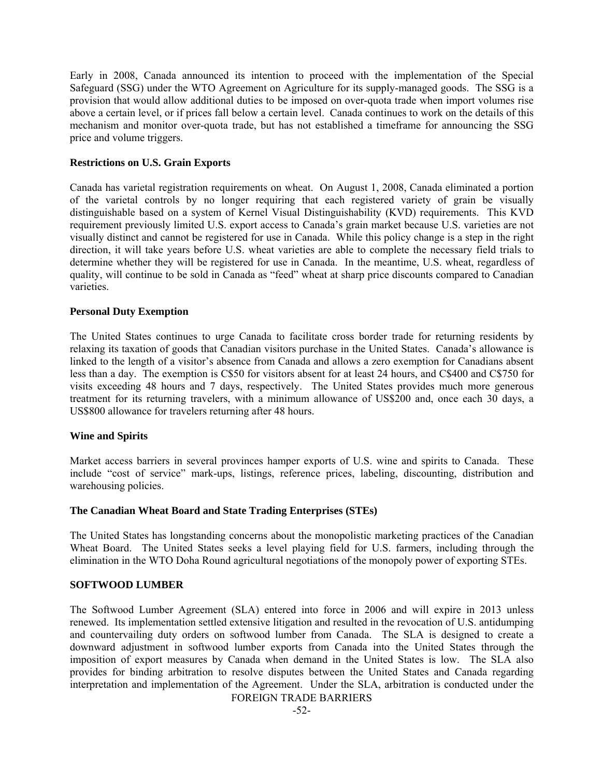Early in 2008, Canada announced its intention to proceed with the implementation of the Special Safeguard (SSG) under the WTO Agreement on Agriculture for its supply-managed goods. The SSG is a provision that would allow additional duties to be imposed on over-quota trade when import volumes rise above a certain level, or if prices fall below a certain level. Canada continues to work on the details of this mechanism and monitor over-quota trade, but has not established a timeframe for announcing the SSG price and volume triggers.

#### **Restrictions on U.S. Grain Exports**

Canada has varietal registration requirements on wheat. On August 1, 2008, Canada eliminated a portion of the varietal controls by no longer requiring that each registered variety of grain be visually distinguishable based on a system of Kernel Visual Distinguishability (KVD) requirements. This KVD requirement previously limited U.S. export access to Canada's grain market because U.S. varieties are not visually distinct and cannot be registered for use in Canada. While this policy change is a step in the right direction, it will take years before U.S. wheat varieties are able to complete the necessary field trials to determine whether they will be registered for use in Canada. In the meantime, U.S. wheat, regardless of quality, will continue to be sold in Canada as "feed" wheat at sharp price discounts compared to Canadian varieties.

#### **Personal Duty Exemption**

The United States continues to urge Canada to facilitate cross border trade for returning residents by relaxing its taxation of goods that Canadian visitors purchase in the United States. Canada's allowance is linked to the length of a visitor's absence from Canada and allows a zero exemption for Canadians absent less than a day. The exemption is C\$50 for visitors absent for at least 24 hours, and C\$400 and C\$750 for visits exceeding 48 hours and 7 days, respectively. The United States provides much more generous treatment for its returning travelers, with a minimum allowance of US\$200 and, once each 30 days, a US\$800 allowance for travelers returning after 48 hours.

# **Wine and Spirits**

Market access barriers in several provinces hamper exports of U.S. wine and spirits to Canada. These include "cost of service" mark-ups, listings, reference prices, labeling, discounting, distribution and warehousing policies.

# **The Canadian Wheat Board and State Trading Enterprises (STEs)**

The United States has longstanding concerns about the monopolistic marketing practices of the Canadian Wheat Board. The United States seeks a level playing field for U.S. farmers, including through the elimination in the WTO Doha Round agricultural negotiations of the monopoly power of exporting STEs.

#### **SOFTWOOD LUMBER**

The Softwood Lumber Agreement (SLA) entered into force in 2006 and will expire in 2013 unless renewed. Its implementation settled extensive litigation and resulted in the revocation of U.S. antidumping and countervailing duty orders on softwood lumber from Canada. The SLA is designed to create a downward adjustment in softwood lumber exports from Canada into the United States through the imposition of export measures by Canada when demand in the United States is low. The SLA also provides for binding arbitration to resolve disputes between the United States and Canada regarding interpretation and implementation of the Agreement. Under the SLA, arbitration is conducted under the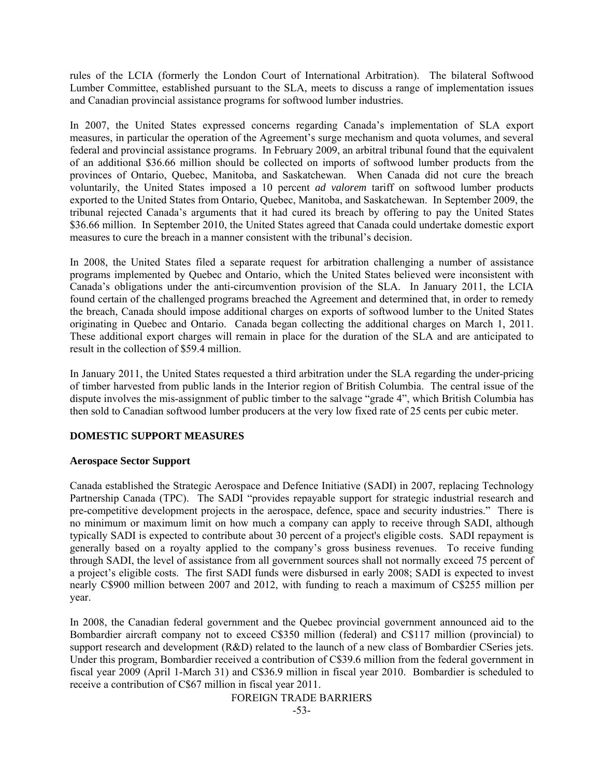rules of the LCIA (formerly the London Court of International Arbitration). The bilateral Softwood Lumber Committee, established pursuant to the SLA, meets to discuss a range of implementation issues and Canadian provincial assistance programs for softwood lumber industries.

In 2007, the United States expressed concerns regarding Canada's implementation of SLA export measures, in particular the operation of the Agreement's surge mechanism and quota volumes, and several federal and provincial assistance programs. In February 2009, an arbitral tribunal found that the equivalent of an additional \$36.66 million should be collected on imports of softwood lumber products from the provinces of Ontario, Quebec, Manitoba, and Saskatchewan. When Canada did not cure the breach voluntarily, the United States imposed a 10 percent *ad valorem* tariff on softwood lumber products exported to the United States from Ontario, Quebec, Manitoba, and Saskatchewan. In September 2009, the tribunal rejected Canada's arguments that it had cured its breach by offering to pay the United States \$36.66 million. In September 2010, the United States agreed that Canada could undertake domestic export measures to cure the breach in a manner consistent with the tribunal's decision.

In 2008, the United States filed a separate request for arbitration challenging a number of assistance programs implemented by Quebec and Ontario, which the United States believed were inconsistent with Canada's obligations under the anti-circumvention provision of the SLA. In January 2011, the LCIA found certain of the challenged programs breached the Agreement and determined that, in order to remedy the breach, Canada should impose additional charges on exports of softwood lumber to the United States originating in Quebec and Ontario. Canada began collecting the additional charges on March 1, 2011. These additional export charges will remain in place for the duration of the SLA and are anticipated to result in the collection of \$59.4 million.

In January 2011, the United States requested a third arbitration under the SLA regarding the under-pricing of timber harvested from public lands in the Interior region of British Columbia. The central issue of the dispute involves the mis-assignment of public timber to the salvage "grade 4", which British Columbia has then sold to Canadian softwood lumber producers at the very low fixed rate of 25 cents per cubic meter.

# **DOMESTIC SUPPORT MEASURES**

# **Aerospace Sector Support**

Canada established the Strategic Aerospace and Defence Initiative (SADI) in 2007, replacing Technology Partnership Canada (TPC). The SADI "provides repayable support for strategic industrial research and pre-competitive development projects in the aerospace, defence, space and security industries." There is no minimum or maximum limit on how much a company can apply to receive through SADI, although typically SADI is expected to contribute about 30 percent of a project's eligible costs. SADI repayment is generally based on a royalty applied to the company's gross business revenues. To receive funding through SADI, the level of assistance from all government sources shall not normally exceed 75 percent of a project's eligible costs. The first SADI funds were disbursed in early 2008; SADI is expected to invest nearly C\$900 million between 2007 and 2012, with funding to reach a maximum of C\$255 million per year.

In 2008, the Canadian federal government and the Quebec provincial government announced aid to the Bombardier aircraft company not to exceed C\$350 million (federal) and C\$117 million (provincial) to support research and development (R&D) related to the launch of a new class of Bombardier CSeries jets. Under this program, Bombardier received a contribution of C\$39.6 million from the federal government in fiscal year 2009 (April 1-March 31) and C\$36.9 million in fiscal year 2010. Bombardier is scheduled to receive a contribution of C\$67 million in fiscal year 2011.

FOREIGN TRADE BARRIERS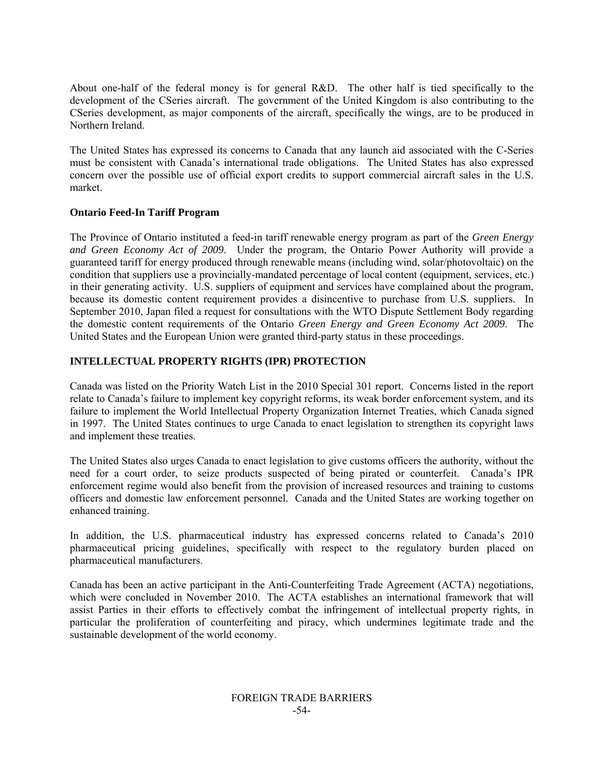About one-half of the federal money is for general R&D. The other half is tied specifically to the development of the CSeries aircraft. The government of the United Kingdom is also contributing to the CSeries development, as major components of the aircraft, specifically the wings, are to be produced in Northern Ireland.

The United States has expressed its concerns to Canada that any launch aid associated with the C-Series must be consistent with Canada's international trade obligations. The United States has also expressed concern over the possible use of official export credits to support commercial aircraft sales in the U.S. market.

# **Ontario Feed-In Tariff Program**

The Province of Ontario instituted a feed-in tariff renewable energy program as part of the *Green Energy and Green Economy Act of 2009*. Under the program, the Ontario Power Authority will provide a guaranteed tariff for energy produced through renewable means (including wind, solar/photovoltaic) on the condition that suppliers use a provincially-mandated percentage of local content (equipment, services, etc.) in their generating activity. U.S. suppliers of equipment and services have complained about the program, because its domestic content requirement provides a disincentive to purchase from U.S. suppliers. In September 2010, Japan filed a request for consultations with the WTO Dispute Settlement Body regarding the domestic content requirements of the Ontario *Green Energy and Green Economy Act 2009*. The United States and the European Union were granted third-party status in these proceedings.

# **INTELLECTUAL PROPERTY RIGHTS (IPR) PROTECTION**

Canada was listed on the Priority Watch List in the 2010 Special 301 report. Concerns listed in the report relate to Canada's failure to implement key copyright reforms, its weak border enforcement system, and its failure to implement the World Intellectual Property Organization Internet Treaties, which Canada signed in 1997. The United States continues to urge Canada to enact legislation to strengthen its copyright laws and implement these treaties.

The United States also urges Canada to enact legislation to give customs officers the authority, without the need for a court order, to seize products suspected of being pirated or counterfeit. Canada's IPR enforcement regime would also benefit from the provision of increased resources and training to customs officers and domestic law enforcement personnel. Canada and the United States are working together on enhanced training.

In addition, the U.S. pharmaceutical industry has expressed concerns related to Canada's 2010 pharmaceutical pricing guidelines, specifically with respect to the regulatory burden placed on pharmaceutical manufacturers.

Canada has been an active participant in the Anti-Counterfeiting Trade Agreement (ACTA) negotiations, which were concluded in November 2010. The ACTA establishes an international framework that will assist Parties in their efforts to effectively combat the infringement of intellectual property rights, in particular the proliferation of counterfeiting and piracy, which undermines legitimate trade and the sustainable development of the world economy.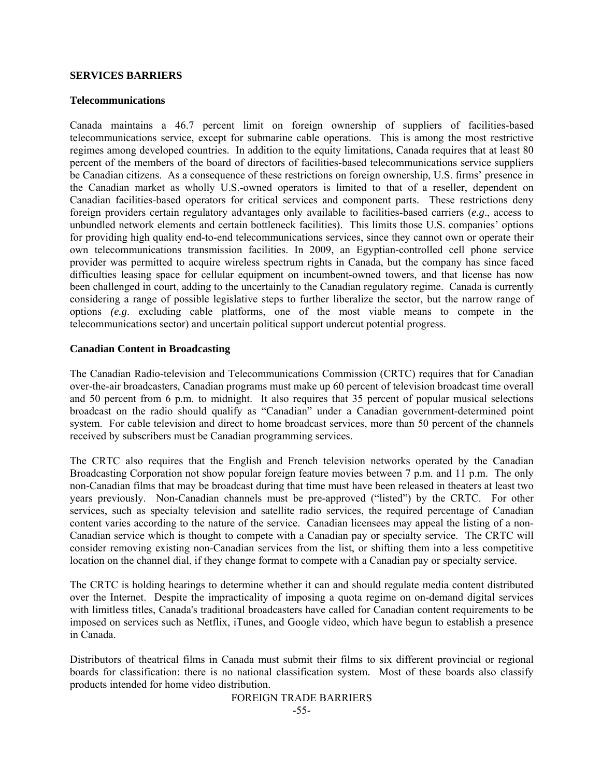#### **SERVICES BARRIERS**

#### **Telecommunications**

Canada maintains a 46.7 percent limit on foreign ownership of suppliers of facilities-based telecommunications service, except for submarine cable operations. This is among the most restrictive regimes among developed countries. In addition to the equity limitations, Canada requires that at least 80 percent of the members of the board of directors of facilities-based telecommunications service suppliers be Canadian citizens. As a consequence of these restrictions on foreign ownership, U.S. firms' presence in the Canadian market as wholly U.S.-owned operators is limited to that of a reseller, dependent on Canadian facilities-based operators for critical services and component parts. These restrictions deny foreign providers certain regulatory advantages only available to facilities-based carriers (*e.g*., access to unbundled network elements and certain bottleneck facilities). This limits those U.S. companies' options for providing high quality end-to-end telecommunications services, since they cannot own or operate their own telecommunications transmission facilities. In 2009, an Egyptian-controlled cell phone service provider was permitted to acquire wireless spectrum rights in Canada, but the company has since faced difficulties leasing space for cellular equipment on incumbent-owned towers, and that license has now been challenged in court, adding to the uncertainly to the Canadian regulatory regime. Canada is currently considering a range of possible legislative steps to further liberalize the sector, but the narrow range of options *(e.g*. excluding cable platforms, one of the most viable means to compete in the telecommunications sector) and uncertain political support undercut potential progress.

#### **Canadian Content in Broadcasting**

The Canadian Radio-television and Telecommunications Commission (CRTC) requires that for Canadian over-the-air broadcasters, Canadian programs must make up 60 percent of television broadcast time overall and 50 percent from 6 p.m. to midnight. It also requires that 35 percent of popular musical selections broadcast on the radio should qualify as "Canadian" under a Canadian government-determined point system. For cable television and direct to home broadcast services, more than 50 percent of the channels received by subscribers must be Canadian programming services.

The CRTC also requires that the English and French television networks operated by the Canadian Broadcasting Corporation not show popular foreign feature movies between 7 p.m. and 11 p.m. The only non-Canadian films that may be broadcast during that time must have been released in theaters at least two years previously. Non-Canadian channels must be pre-approved ("listed") by the CRTC. For other services, such as specialty television and satellite radio services, the required percentage of Canadian content varies according to the nature of the service. Canadian licensees may appeal the listing of a non-Canadian service which is thought to compete with a Canadian pay or specialty service. The CRTC will consider removing existing non-Canadian services from the list, or shifting them into a less competitive location on the channel dial, if they change format to compete with a Canadian pay or specialty service.

The CRTC is holding hearings to determine whether it can and should regulate media content distributed over the Internet. Despite the impracticality of imposing a quota regime on on-demand digital services with limitless titles, Canada's traditional broadcasters have called for Canadian content requirements to be imposed on services such as Netflix, iTunes, and Google video, which have begun to establish a presence in Canada.

Distributors of theatrical films in Canada must submit their films to six different provincial or regional boards for classification: there is no national classification system. Most of these boards also classify products intended for home video distribution.

# FOREIGN TRADE BARRIERS